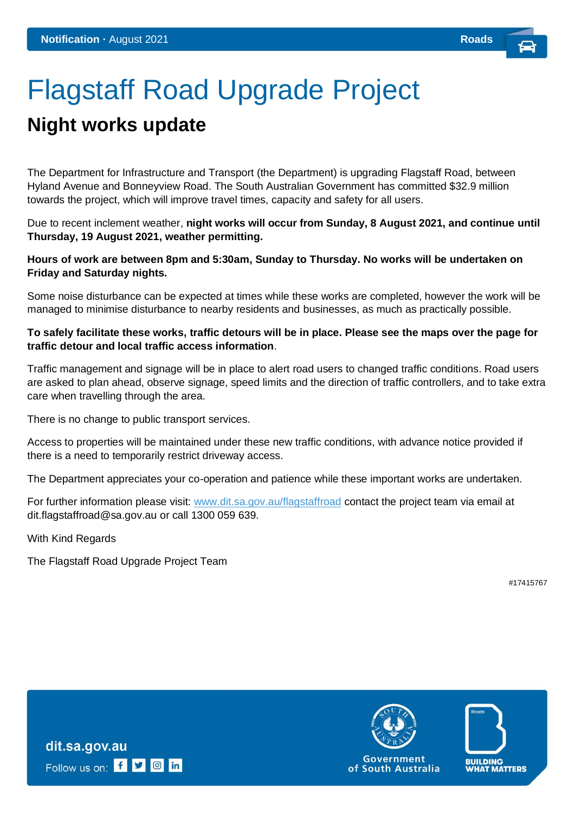# Flagstaff Road Upgrade Project

## **Night works update**

The Department for Infrastructure and Transport (the Department) is upgrading Flagstaff Road, between Hyland Avenue and Bonneyview Road. The South Australian Government has committed \$32.9 million towards the project, which will improve travel times, capacity and safety for all users.

Due to recent inclement weather, **night works will occur from Sunday, 8 August 2021, and continue until Thursday, 19 August 2021, weather permitting.** 

**Hours of work are between 8pm and 5:30am, Sunday to Thursday. No works will be undertaken on Friday and Saturday nights.**

Some noise disturbance can be expected at times while these works are completed, however the work will be managed to minimise disturbance to nearby residents and businesses, as much as practically possible.

#### **To safely facilitate these works, traffic detours will be in place. Please see the maps over the page for traffic detour and local traffic access information**.

Traffic management and signage will be in place to alert road users to changed traffic conditions. Road users are asked to plan ahead, observe signage, speed limits and the direction of traffic controllers, and to take extra care when travelling through the area.

There is no change to public transport services.

Access to properties will be maintained under these new traffic conditions, with advance notice provided if there is a need to temporarily restrict driveway access.

The Department appreciates your co-operation and patience while these important works are undertaken.

For further information please visit: [www.dit.sa.gov.au/flagstaffroad](http://www.dit.sa.gov.au/flagstaffroad) contact the project team via email at [dit.flagstaffroad@sa.gov.au](mailto:dit.flagstaffroad@sa.gov.au) or call 1300 059 639.

With Kind Regards

The Flagstaff Road Upgrade Project Team

#17415767



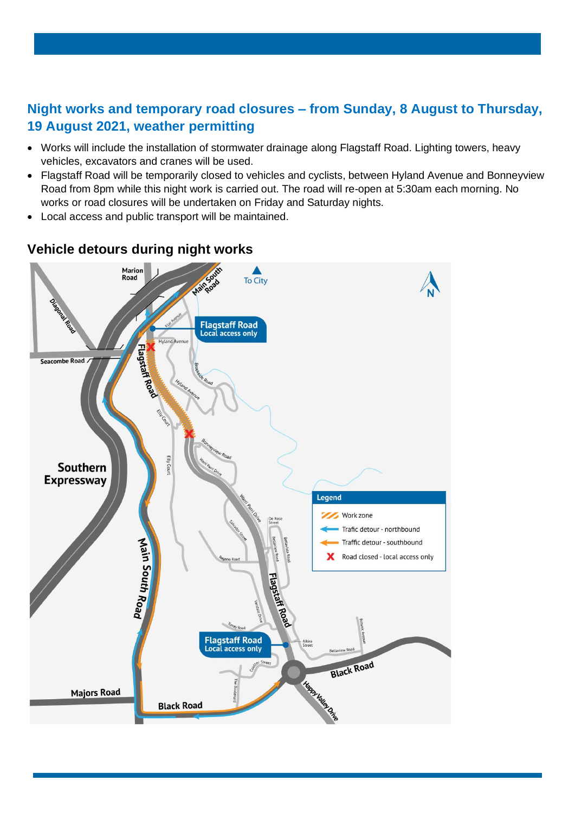### **Night works and temporary road closures – from Sunday, 8 August to Thursday, 19 August 2021, weather permitting**

- Works will include the installation of stormwater drainage along Flagstaff Road. Lighting towers, heavy vehicles, excavators and cranes will be used.
- Flagstaff Road will be temporarily closed to vehicles and cyclists, between Hyland Avenue and Bonneyview Road from 8pm while this night work is carried out. The road will re-open at 5:30am each morning. No works or road closures will be undertaken on Friday and Saturday nights.
- Local access and public transport will be maintained.



### **Vehicle detours during night works**